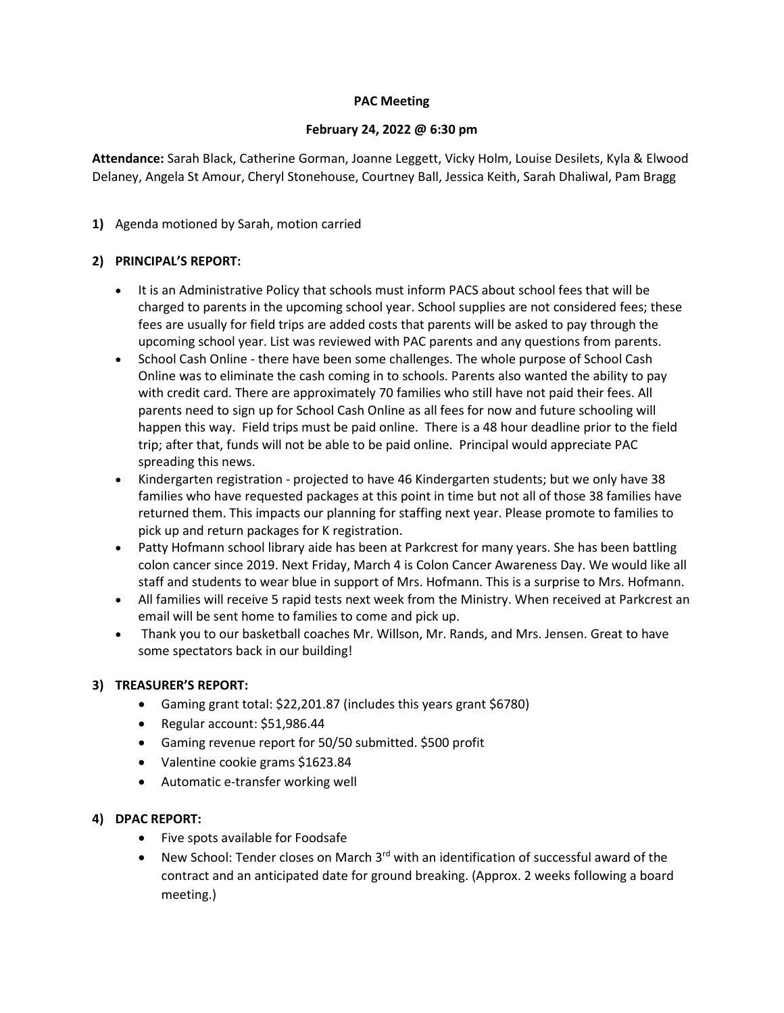### **PAC Meeting**

### **February 24, 2022 @ 6:30 pm**

**Attendance:** Sarah Black, Catherine Gorman, Joanne Leggett, Vicky Holm, Louise Desilets, Kyla & Elwood Delaney, Angela St Amour, Cheryl Stonehouse, Courtney Ball, Jessica Keith, Sarah Dhaliwal, Pam Bragg

# **1)** Agenda motioned by Sarah, motion carried

# **2) PRINCIPAL'S REPORT:**

- It is an Administrative Policy that schools must inform PACS about school fees that will be charged to parents in the upcoming school year. School supplies are not considered fees; these fees are usually for field trips are added costs that parents will be asked to pay through the upcoming school year. List was reviewed with PAC parents and any questions from parents.
- School Cash Online there have been some challenges. The whole purpose of School Cash Online was to eliminate the cash coming in to schools. Parents also wanted the ability to pay with credit card. There are approximately 70 families who still have not paid their fees. All parents need to sign up for School Cash Online as all fees for now and future schooling will happen this way. Field trips must be paid online. There is a 48 hour deadline prior to the field trip; after that, funds will not be able to be paid online. Principal would appreciate PAC spreading this news.
- Kindergarten registration projected to have 46 Kindergarten students; but we only have 38 families who have requested packages at this point in time but not all of those 38 families have returned them. This impacts our planning for staffing next year. Please promote to families to pick up and return packages for K registration.
- Patty Hofmann school library aide has been at Parkcrest for many years. She has been battling colon cancer since 2019. Next Friday, March 4 is Colon Cancer Awareness Day. We would like all staff and students to wear blue in support of Mrs. Hofmann. This is a surprise to Mrs. Hofmann.
- All families will receive 5 rapid tests next week from the Ministry. When received at Parkcrest an email will be sent home to families to come and pick up.
- Thank you to our basketball coaches Mr. Willson, Mr. Rands, and Mrs. Jensen. Great to have some spectators back in our building!

# **3) TREASURER'S REPORT:**

- Gaming grant total: \$22,201.87 (includes this years grant \$6780)
- Regular account: \$51,986.44
- Gaming revenue report for 50/50 submitted. \$500 profit
- Valentine cookie grams \$1623.84
- Automatic e-transfer working well

# **4) DPAC REPORT:**

- Five spots available for Foodsafe
- New School: Tender closes on March  $3<sup>rd</sup>$  with an identification of successful award of the contract and an anticipated date for ground breaking. (Approx. 2 weeks following a board meeting.)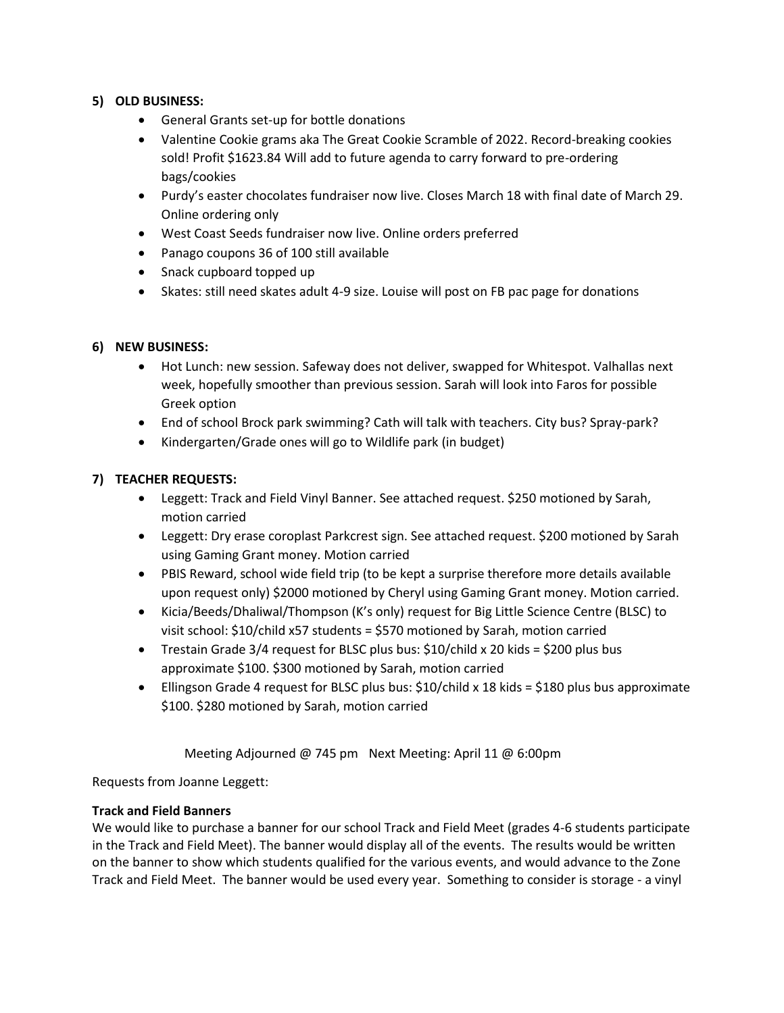# **5) OLD BUSINESS:**

- General Grants set-up for bottle donations
- Valentine Cookie grams aka The Great Cookie Scramble of 2022. Record-breaking cookies sold! Profit \$1623.84 Will add to future agenda to carry forward to pre-ordering bags/cookies
- Purdy's easter chocolates fundraiser now live. Closes March 18 with final date of March 29. Online ordering only
- West Coast Seeds fundraiser now live. Online orders preferred
- Panago coupons 36 of 100 still available
- Snack cupboard topped up
- Skates: still need skates adult 4-9 size. Louise will post on FB pac page for donations

# **6) NEW BUSINESS:**

- Hot Lunch: new session. Safeway does not deliver, swapped for Whitespot. Valhallas next week, hopefully smoother than previous session. Sarah will look into Faros for possible Greek option
- End of school Brock park swimming? Cath will talk with teachers. City bus? Spray-park?
- Kindergarten/Grade ones will go to Wildlife park (in budget)

# **7) TEACHER REQUESTS:**

- Leggett: Track and Field Vinyl Banner. See attached request. \$250 motioned by Sarah, motion carried
- Leggett: Dry erase coroplast Parkcrest sign. See attached request. \$200 motioned by Sarah using Gaming Grant money. Motion carried
- PBIS Reward, school wide field trip (to be kept a surprise therefore more details available upon request only) \$2000 motioned by Cheryl using Gaming Grant money. Motion carried.
- Kicia/Beeds/Dhaliwal/Thompson (K's only) request for Big Little Science Centre (BLSC) to visit school: \$10/child x57 students = \$570 motioned by Sarah, motion carried
- Trestain Grade 3/4 request for BLSC plus bus:  $$10/child \times 20$  kids =  $$200$  plus bus approximate \$100. \$300 motioned by Sarah, motion carried
- Ellingson Grade 4 request for BLSC plus bus: \$10/child x 18 kids = \$180 plus bus approximate \$100. \$280 motioned by Sarah, motion carried

Meeting Adjourned @ 745 pm Next Meeting: April 11 @ 6:00pm

Requests from Joanne Leggett:

#### **Track and Field Banners**

We would like to purchase a banner for our school Track and Field Meet (grades 4-6 students participate in the Track and Field Meet). The banner would display all of the events. The results would be written on the banner to show which students qualified for the various events, and would advance to the Zone Track and Field Meet. The banner would be used every year. Something to consider is storage - a vinyl